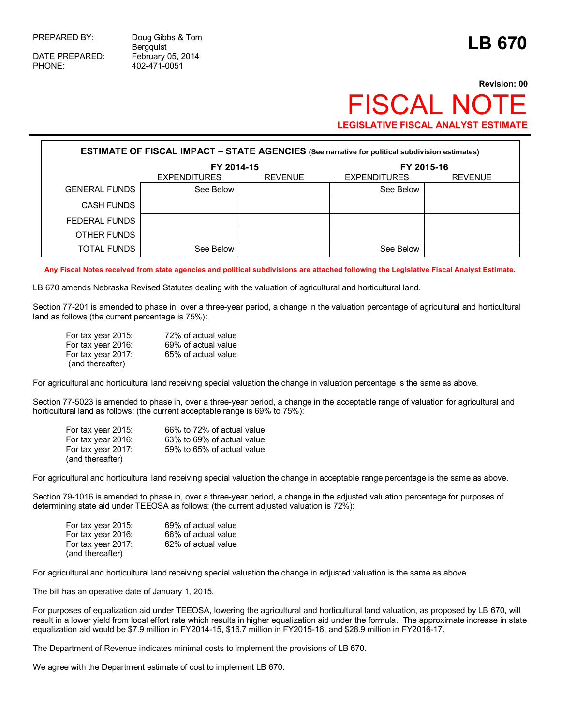DATE PREPARED: February 05, 2014

PREPARED BY: Doug Gibbs & Tom Doug Gibbs & Tom<br>Bergquist **LB 670** PHONE: 402-471-0051

## **Revision: 00** SCAL NO **LEGISLATIVE FISCAL ANALYST ESTIMATE**

| <b>ESTIMATE OF FISCAL IMPACT - STATE AGENCIES</b> (See narrative for political subdivision estimates) |                          |                     |                |  |  |  |  |
|-------------------------------------------------------------------------------------------------------|--------------------------|---------------------|----------------|--|--|--|--|
|                                                                                                       | FY 2014-15<br>FY 2015-16 |                     |                |  |  |  |  |
|                                                                                                       | <b>EXPENDITURES</b>      | <b>EXPENDITURES</b> | <b>REVENUE</b> |  |  |  |  |
| <b>GENERAL FUNDS</b>                                                                                  | See Below                |                     | See Below      |  |  |  |  |
| <b>CASH FUNDS</b>                                                                                     |                          |                     |                |  |  |  |  |
| FEDERAL FUNDS                                                                                         |                          |                     |                |  |  |  |  |
| OTHER FUNDS                                                                                           |                          |                     |                |  |  |  |  |
| <b>TOTAL FUNDS</b>                                                                                    | See Below                |                     | See Below      |  |  |  |  |

**Any Fiscal Notes received from state agencies and political subdivisions are attached following the Legislative Fiscal Analyst Estimate.**

LB 670 amends Nebraska Revised Statutes dealing with the valuation of agricultural and horticultural land.

Section 77-201 is amended to phase in, over a three-year period, a change in the valuation percentage of agricultural and horticultural land as follows (the current percentage is 75%):

For tax year 2015: 72% of actual value For tax year 2016: 69% of actual value For tax year 2017: 65% of actual value (and thereafter)

For agricultural and horticultural land receiving special valuation the change in valuation percentage is the same as above.

Section 77-5023 is amended to phase in, over a three-year period, a change in the acceptable range of valuation for agricultural and horticultural land as follows: (the current acceptable range is 69% to 75%):

| For tax year 2015: | 66% to 72% of actual value |
|--------------------|----------------------------|
| For tax year 2016: | 63% to 69% of actual value |
| For tax year 2017: | 59% to 65% of actual value |
| (and thereafter)   |                            |

For agricultural and horticultural land receiving special valuation the change in acceptable range percentage is the same as above.

Section 79-1016 is amended to phase in, over a three-year period, a change in the adjusted valuation percentage for purposes of determining state aid under TEEOSA as follows: (the current adjusted valuation is 72%):

| For tax year 2015: | 69% of actual value |
|--------------------|---------------------|
| For tax year 2016: | 66% of actual value |
| For tax year 2017: | 62% of actual value |
| (and thereafter)   |                     |

For agricultural and horticultural land receiving special valuation the change in adjusted valuation is the same as above.

The bill has an operative date of January 1, 2015.

For purposes of equalization aid under TEEOSA, lowering the agricultural and horticultural land valuation, as proposed by LB 670, will result in a lower yield from local effort rate which results in higher equalization aid under the formula. The approximate increase in state equalization aid would be \$7.9 million in FY2014-15, \$16.7 million in FY2015-16, and \$28.9 million in FY2016-17.

The Department of Revenue indicates minimal costs to implement the provisions of LB 670.

We agree with the Department estimate of cost to implement LB 670.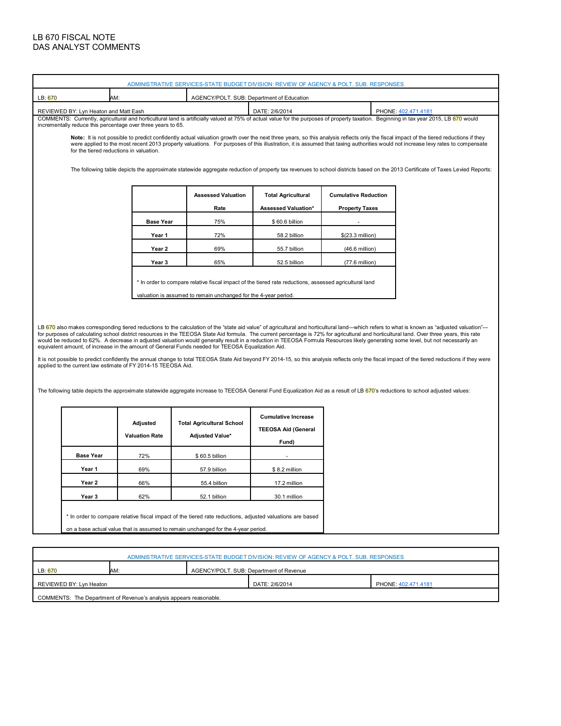## LB 670 FISCAL NOTE DAS ANALYST COMMENTS

r

|                                                                                                                                                               | ADMINISTRATIVE SERVICES-STATE BUDGET DIVISION: REVIEW OF AGENCY & POLT. SUB. RESPONSES                                                                                                                                                                                                                                                                                                                                                                                                                                                                                                                                                                                                                                                                                                                                                                                                                                                                                                                                                                                                                                                                                                                                                                                                                               |                                                              |                |                                           |                  |                                                                                                                                                                                        |  |  |
|---------------------------------------------------------------------------------------------------------------------------------------------------------------|----------------------------------------------------------------------------------------------------------------------------------------------------------------------------------------------------------------------------------------------------------------------------------------------------------------------------------------------------------------------------------------------------------------------------------------------------------------------------------------------------------------------------------------------------------------------------------------------------------------------------------------------------------------------------------------------------------------------------------------------------------------------------------------------------------------------------------------------------------------------------------------------------------------------------------------------------------------------------------------------------------------------------------------------------------------------------------------------------------------------------------------------------------------------------------------------------------------------------------------------------------------------------------------------------------------------|--------------------------------------------------------------|----------------|-------------------------------------------|------------------|----------------------------------------------------------------------------------------------------------------------------------------------------------------------------------------|--|--|
| LB: 670                                                                                                                                                       | AM:                                                                                                                                                                                                                                                                                                                                                                                                                                                                                                                                                                                                                                                                                                                                                                                                                                                                                                                                                                                                                                                                                                                                                                                                                                                                                                                  |                                                              |                | AGENCY/POLT. SUB: Department of Education |                  |                                                                                                                                                                                        |  |  |
|                                                                                                                                                               | REVIEWED BY: Lyn Heaton and Matt Eash                                                                                                                                                                                                                                                                                                                                                                                                                                                                                                                                                                                                                                                                                                                                                                                                                                                                                                                                                                                                                                                                                                                                                                                                                                                                                |                                                              |                | DATE: 2/6/2014                            |                  | PHONE: 402.471.4181                                                                                                                                                                    |  |  |
|                                                                                                                                                               |                                                                                                                                                                                                                                                                                                                                                                                                                                                                                                                                                                                                                                                                                                                                                                                                                                                                                                                                                                                                                                                                                                                                                                                                                                                                                                                      | incrementally reduce this percentage over three years to 65. |                |                                           |                  | COMMENTS: Currently, agricultural and horticultural land is artificially valued at 75% of actual value for the purposes of property taxation. Beginning in tax year 2015, LB 670 would |  |  |
|                                                                                                                                                               | Note: It is not possible to predict confidently actual valuation growth over the next three years, so this analysis reflects only the fiscal impact of the tiered reductions if they<br>were applied to the most recent 2013 property valuations. For purposes of this illustration, it is assumed that taxing authorities would not increase levy rates to compensate<br>for the tiered reductions in valuation.<br>The following table depicts the approximate statewide aggregate reduction of property tax revenues to school districts based on the 2013 Certificate of Taxes Levied Reports:                                                                                                                                                                                                                                                                                                                                                                                                                                                                                                                                                                                                                                                                                                                   |                                                              |                |                                           |                  |                                                                                                                                                                                        |  |  |
|                                                                                                                                                               | <b>Assessed Valuation</b><br><b>Total Agricultural</b><br><b>Cumulative Reduction</b><br>Rate<br>Assessed Valuation*<br><b>Property Taxes</b>                                                                                                                                                                                                                                                                                                                                                                                                                                                                                                                                                                                                                                                                                                                                                                                                                                                                                                                                                                                                                                                                                                                                                                        |                                                              |                |                                           |                  |                                                                                                                                                                                        |  |  |
|                                                                                                                                                               |                                                                                                                                                                                                                                                                                                                                                                                                                                                                                                                                                                                                                                                                                                                                                                                                                                                                                                                                                                                                                                                                                                                                                                                                                                                                                                                      | <b>Base Year</b>                                             | 75%            | \$60.6 billion                            |                  |                                                                                                                                                                                        |  |  |
|                                                                                                                                                               |                                                                                                                                                                                                                                                                                                                                                                                                                                                                                                                                                                                                                                                                                                                                                                                                                                                                                                                                                                                                                                                                                                                                                                                                                                                                                                                      | Year 1                                                       | 72%            | 58.2 billion                              | \$(23.3 million) |                                                                                                                                                                                        |  |  |
|                                                                                                                                                               |                                                                                                                                                                                                                                                                                                                                                                                                                                                                                                                                                                                                                                                                                                                                                                                                                                                                                                                                                                                                                                                                                                                                                                                                                                                                                                                      | Year 2                                                       | 69%            | 55.7 billion                              | (46.6 million)   |                                                                                                                                                                                        |  |  |
|                                                                                                                                                               |                                                                                                                                                                                                                                                                                                                                                                                                                                                                                                                                                                                                                                                                                                                                                                                                                                                                                                                                                                                                                                                                                                                                                                                                                                                                                                                      | Year 3                                                       | 65%            | 52.5 billion                              | $(77.6$ million) |                                                                                                                                                                                        |  |  |
|                                                                                                                                                               | * In order to compare relative fiscal impact of the tiered rate reductions, assessed agricultural land<br>valuation is assumed to remain unchanged for the 4-year period.<br>LB 670 also makes corresponding tiered reductions to the calculation of the "state aid value" of agricultural and horticultural land—which refers to what is known as "adjusted valuation"-<br>for purposes of calculating school district resources in the TEEOSA State Aid formula. The current percentage is 72% for agricultural and horticultural land. Over three years, this rate<br>would be reduced to 62%. A decrease in adjusted valuation would generally result in a reduction in TEEOSA Formula Resources likely generating some level, but not necessarily an<br>equivalent amount, of increase in the amount of General Funds needed for TEEOSA Equalization Aid.<br>It is not possible to predict confidently the annual change to total TEEOSA State Aid beyond FY 2014-15, so this analysis reflects only the fiscal impact of the tiered reductions if they were<br>applied to the current law estimate of FY 2014-15 TEEOSA Aid.<br>The following table depicts the approximate statewide aggregate increase to TEEOSA General Fund Equalization Aid as a result of LB 670's reductions to school adjusted values: |                                                              |                |                                           |                  |                                                                                                                                                                                        |  |  |
| <b>Cumulative Increase</b><br>Adjusted<br><b>Total Agricultural School</b><br><b>TEEOSA Aid (General</b><br><b>Valuation Rate</b><br>Adjusted Value*<br>Fund) |                                                                                                                                                                                                                                                                                                                                                                                                                                                                                                                                                                                                                                                                                                                                                                                                                                                                                                                                                                                                                                                                                                                                                                                                                                                                                                                      |                                                              |                |                                           |                  |                                                                                                                                                                                        |  |  |
|                                                                                                                                                               | <b>Base Year</b>                                                                                                                                                                                                                                                                                                                                                                                                                                                                                                                                                                                                                                                                                                                                                                                                                                                                                                                                                                                                                                                                                                                                                                                                                                                                                                     | 72%                                                          | \$60.5 billion |                                           |                  |                                                                                                                                                                                        |  |  |
|                                                                                                                                                               | Year 1                                                                                                                                                                                                                                                                                                                                                                                                                                                                                                                                                                                                                                                                                                                                                                                                                                                                                                                                                                                                                                                                                                                                                                                                                                                                                                               | 69%                                                          | 57.9 billion   | \$8.2 million                             |                  |                                                                                                                                                                                        |  |  |
|                                                                                                                                                               | Year 2                                                                                                                                                                                                                                                                                                                                                                                                                                                                                                                                                                                                                                                                                                                                                                                                                                                                                                                                                                                                                                                                                                                                                                                                                                                                                                               | 66%                                                          | 55.4 billion   | 17.2 million                              |                  |                                                                                                                                                                                        |  |  |
|                                                                                                                                                               | Year 3                                                                                                                                                                                                                                                                                                                                                                                                                                                                                                                                                                                                                                                                                                                                                                                                                                                                                                                                                                                                                                                                                                                                                                                                                                                                                                               | 62%                                                          | 52.1 billion   | 30.1 million                              |                  |                                                                                                                                                                                        |  |  |
|                                                                                                                                                               | * In order to compare relative fiscal impact of the tiered rate reductions, adjusted valuations are based<br>on a base actual value that is assumed to remain unchanged for the 4-year period.                                                                                                                                                                                                                                                                                                                                                                                                                                                                                                                                                                                                                                                                                                                                                                                                                                                                                                                                                                                                                                                                                                                       |                                                              |                |                                           |                  |                                                                                                                                                                                        |  |  |

| ADMINISTRATIVE SERVICES-STATE BUDGET DIVISION: REVIEW OF AGENCY & POLT. SUB. RESPONSES |     |                                         |  |  |  |  |
|----------------------------------------------------------------------------------------|-----|-----------------------------------------|--|--|--|--|
| LB: 670                                                                                | AM: | AGENCY/POLT. SUB: Department of Revenue |  |  |  |  |
| DATE: 2/6/2014<br>REVIEWED BY: Lyn Heaton<br>PHONE: 402.471.4181                       |     |                                         |  |  |  |  |
| COMMENTS: The Department of Revenue's analysis appears reasonable.                     |     |                                         |  |  |  |  |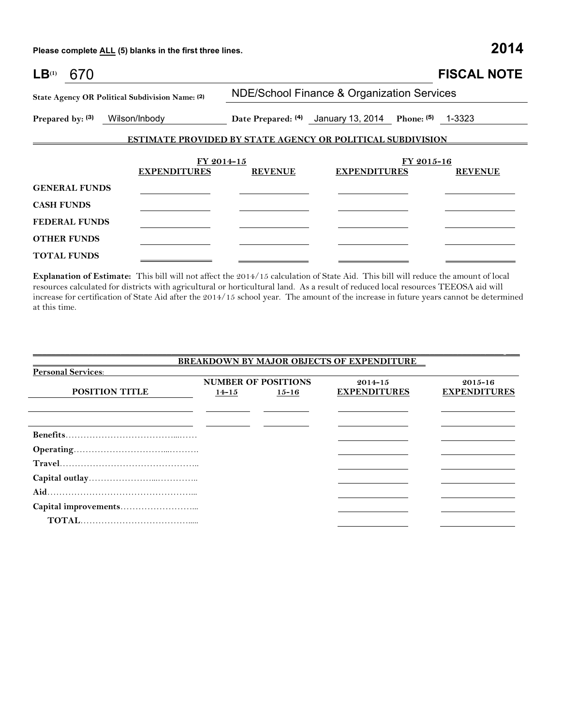**Please complete ALL (5) blanks in the first three lines. 2014**

| LB <sup>(1)</sup><br>670 |                                                                   |                |                                                |            | <b>FISCAL NOTE</b> |
|--------------------------|-------------------------------------------------------------------|----------------|------------------------------------------------|------------|--------------------|
|                          | State Agency OR Political Subdivision Name: (2)                   |                | NDE/School Finance & Organization Services     |            |                    |
| Prepared by: (3)         | Wilson/Inbody                                                     |                | Date Prepared: (4) January 13, 2014 Phone: (5) |            | 1-3323             |
|                          | <b>ESTIMATE PROVIDED BY STATE AGENCY OR POLITICAL SUBDIVISION</b> |                |                                                |            |                    |
|                          | FY 2014-15                                                        |                |                                                | FY 2015-16 |                    |
|                          | <b>EXPENDITURES</b>                                               | <b>REVENUE</b> | <b>EXPENDITURES</b>                            |            | <b>REVENUE</b>     |
| <b>GENERAL FUNDS</b>     |                                                                   |                |                                                |            |                    |
| <b>CASH FUNDS</b>        |                                                                   |                |                                                |            |                    |
| <b>FEDERAL FUNDS</b>     |                                                                   |                |                                                |            |                    |
| <b>OTHER FUNDS</b>       |                                                                   |                |                                                |            |                    |
| <b>TOTAL FUNDS</b>       |                                                                   |                |                                                |            |                    |

**Explanation of Estimate:** This bill will not affect the 2014/15 calculation of State Aid. This bill will reduce the amount of local resources calculated for districts with agricultural or horticultural land. As a result of reduced local resources TEEOSA aid will increase for certification of State Aid after the 2014/15 school year. The amount of the increase in future years cannot be determined at this time.

\_\_\_\_\_\_\_\_\_\_\_\_\_\_\_\_\_\_\_\_\_\_\_\_\_\_\_\_\_\_\_\_\_\_\_\_\_\_\_\_\_\_\_\_\_\_\_\_\_\_\_\_\_\_\_\_\_\_\_\_\_\_\_\_\_\_\_\_\_\_\_\_\_\_\_\_\_\_\_\_\_\_\_\_\_\_\_\_\_\_\_\_\_\_\_\_\_\_\_\_\_\_ \_\_\_

| <b>BREAKDOWN BY MAJOR OBJECTS OF EXPENDITURE</b> |                            |           |                     |                     |  |  |  |  |
|--------------------------------------------------|----------------------------|-----------|---------------------|---------------------|--|--|--|--|
| <b>Personal Services:</b>                        |                            |           |                     |                     |  |  |  |  |
|                                                  | <b>NUMBER OF POSITIONS</b> |           | $2014 - 15$         | $2015 - 16$         |  |  |  |  |
| <b>POSITION TITLE</b>                            | $14 - 15$                  | $15 - 16$ | <b>EXPENDITURES</b> | <b>EXPENDITURES</b> |  |  |  |  |
|                                                  |                            |           |                     |                     |  |  |  |  |
|                                                  |                            |           |                     |                     |  |  |  |  |
|                                                  |                            |           |                     |                     |  |  |  |  |
|                                                  |                            |           |                     |                     |  |  |  |  |
|                                                  |                            |           |                     |                     |  |  |  |  |
|                                                  |                            |           |                     |                     |  |  |  |  |
|                                                  |                            |           |                     |                     |  |  |  |  |
|                                                  |                            |           |                     |                     |  |  |  |  |
|                                                  |                            |           |                     |                     |  |  |  |  |
|                                                  |                            |           |                     |                     |  |  |  |  |
|                                                  |                            |           |                     |                     |  |  |  |  |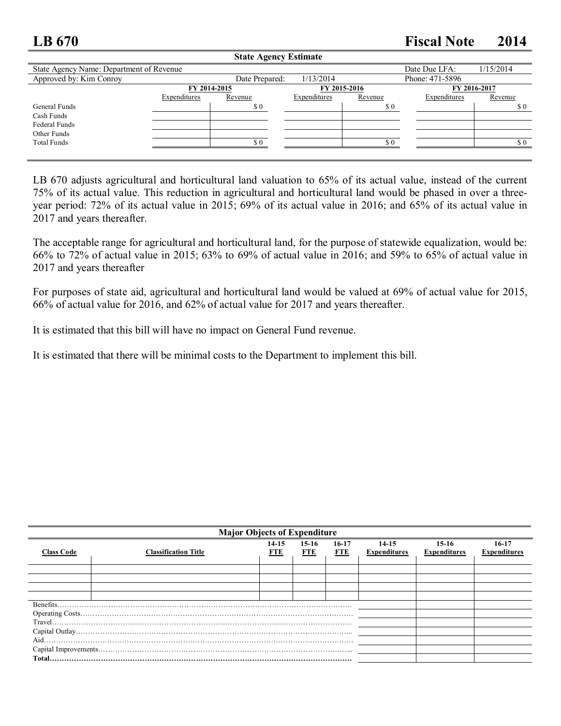## **LB 670 Fiscal Note 2014**

| State Agency Estimate                        |              |                |              |         |                 |           |  |
|----------------------------------------------|--------------|----------------|--------------|---------|-----------------|-----------|--|
| State Agency Name: Department of Revenue     |              |                |              |         | Date Due LFA:   | 1/15/2014 |  |
| Approved by: Kim Conroy                      |              | Date Prepared: | 1/13/2014    |         | Phone: 471-5896 |           |  |
| FY 2015-2016<br>FY 2016-2017<br>FY 2014-2015 |              |                |              |         |                 |           |  |
|                                              | Expenditures | Revenue        | Expenditures | Revenue | Expenditures    | Revenue   |  |
| General Funds                                |              | \$0            |              | \$0     |                 | \$0       |  |
| Cash Funds                                   |              |                |              |         |                 |           |  |
| Federal Funds                                |              |                |              |         |                 |           |  |
| Other Funds                                  |              |                |              |         |                 |           |  |
| <b>Total Funds</b>                           |              | \$0            |              | \$0     |                 | \$ 0      |  |
|                                              |              |                |              |         |                 |           |  |

**State Agency Estimate**

LB 670 adjusts agricultural and horticultural land valuation to 65% of its actual value, instead of the current 75% of its actual value. This reduction in agricultural and horticultural land would be phased in over a threeyear period: 72% of its actual value in 2015; 69% of its actual value in 2016; and 65% of its actual value in 2017 and years thereafter.

The acceptable range for agricultural and horticultural land, for the purpose of statewide equalization, would be: 66% to 72% of actual value in 2015; 63% to 69% of actual value in 2016; and 59% to 65% of actual value in 2017 and years thereafter

For purposes of state aid, agricultural and horticultural land would be valued at 69% of actual value for 2015, 66% of actual value for 2016, and 62% of actual value for 2017 and years thereafter.

It is estimated that this bill will have no impact on General Fund revenue.

It is estimated that there will be minimal costs to the Department to implement this bill.

| <b>Major Objects of Expenditure</b> |                             |                |                |                       |                                  |                                |                                |  |
|-------------------------------------|-----------------------------|----------------|----------------|-----------------------|----------------------------------|--------------------------------|--------------------------------|--|
| <b>Class Code</b>                   | <b>Classification Title</b> | $14-15$<br>FTE | $15-16$<br>FTE | $16-17$<br><b>FTE</b> | $14 - 15$<br><b>Expenditures</b> | $15-16$<br><b>Expenditures</b> | $16-17$<br><b>Expenditures</b> |  |
|                                     |                             |                |                |                       |                                  |                                |                                |  |
|                                     |                             |                |                |                       |                                  |                                |                                |  |
|                                     |                             |                |                |                       |                                  |                                |                                |  |
|                                     |                             |                |                |                       |                                  |                                |                                |  |
| Benefits.                           |                             |                |                |                       |                                  |                                |                                |  |
|                                     |                             |                |                |                       |                                  |                                |                                |  |
|                                     |                             |                |                |                       |                                  |                                |                                |  |
|                                     |                             |                |                |                       |                                  |                                |                                |  |
| Aid.                                |                             |                |                |                       |                                  |                                |                                |  |
|                                     |                             |                |                |                       |                                  |                                |                                |  |
|                                     |                             |                |                |                       |                                  |                                |                                |  |